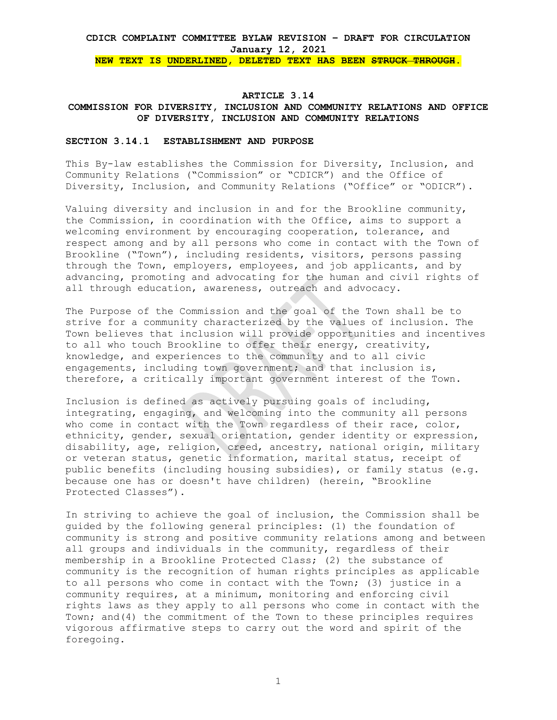**NEW TEXT IS UNDERLINED, DELETED TEXT HAS BEEN STRUCK THROUGH.** 

#### **ARTICLE 3.14**

## **COMMISSION FOR DIVERSITY, INCLUSION AND COMMUNITY RELATIONS AND OFFICE OF DIVERSITY, INCLUSION AND COMMUNITY RELATIONS**

#### **SECTION 3.14.1 ESTABLISHMENT AND PURPOSE**

This By-law establishes the Commission for Diversity, Inclusion, and Community Relations ("Commission" or "CDICR") and the Office of Diversity, Inclusion, and Community Relations ("Office" or "ODICR").

Valuing diversity and inclusion in and for the Brookline community, the Commission, in coordination with the Office, aims to support a welcoming environment by encouraging cooperation, tolerance, and respect among and by all persons who come in contact with the Town of Brookline ("Town"), including residents, visitors, persons passing through the Town, employers, employees, and job applicants, and by advancing, promoting and advocating for the human and civil rights of all through education, awareness, outreach and advocacy.

The Purpose of the Commission and the goal of the Town shall be to strive for a community characterized by the values of inclusion. The Town believes that inclusion will provide opportunities and incentives to all who touch Brookline to offer their energy, creativity, knowledge, and experiences to the community and to all civic engagements, including town government; and that inclusion is, therefore, a critically important government interest of the Town.

Inclusion is defined as actively pursuing goals of including, integrating, engaging, and welcoming into the community all persons who come in contact with the Town regardless of their race, color, ethnicity, gender, sexual orientation, gender identity or expression, disability, age, religion, creed, ancestry, national origin, military or veteran status, genetic information, marital status, receipt of public benefits (including housing subsidies), or family status (e.g. because one has or doesn't have children) (herein, "Brookline Protected Classes").

In striving to achieve the goal of inclusion, the Commission shall be guided by the following general principles: (1) the foundation of community is strong and positive community relations among and between all groups and individuals in the community, regardless of their membership in a Brookline Protected Class; (2) the substance of community is the recognition of human rights principles as applicable to all persons who come in contact with the Town; (3) justice in a community requires, at a minimum, monitoring and enforcing civil rights laws as they apply to all persons who come in contact with the Town; and(4) the commitment of the Town to these principles requires vigorous affirmative steps to carry out the word and spirit of the foregoing.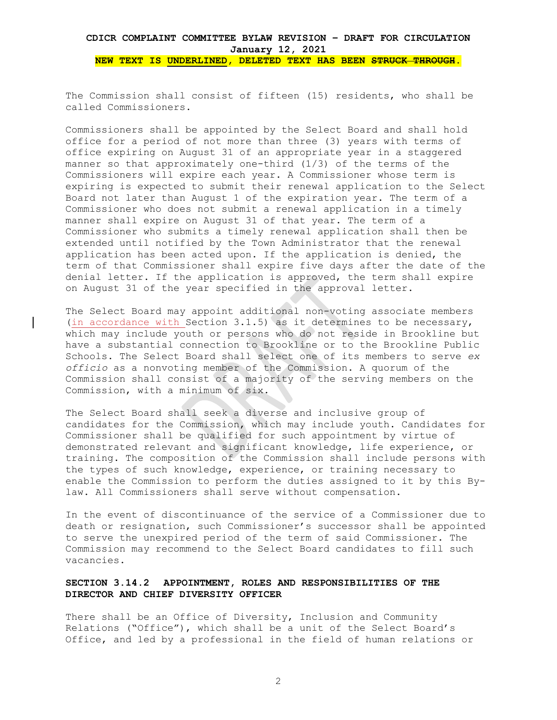The Commission shall consist of fifteen (15) residents, who shall be called Commissioners.

Commissioners shall be appointed by the Select Board and shall hold office for a period of not more than three (3) years with terms of office expiring on August 31 of an appropriate year in a staggered manner so that approximately one-third (1/3) of the terms of the Commissioners will expire each year. A Commissioner whose term is expiring is expected to submit their renewal application to the Select Board not later than August 1 of the expiration year. The term of a Commissioner who does not submit a renewal application in a timely manner shall expire on August 31 of that year. The term of a Commissioner who submits a timely renewal application shall then be extended until notified by the Town Administrator that the renewal application has been acted upon. If the application is denied, the term of that Commissioner shall expire five days after the date of the denial letter. If the application is approved, the term shall expire on August 31 of the year specified in the approval letter.

The Select Board may appoint additional non-voting associate members (in accordance with Section 3.1.5) as it determines to be necessary, which may include youth or persons who do not reside in Brookline but have a substantial connection to Brookline or to the Brookline Public Schools. The Select Board shall select one of its members to serve *ex officio* as a nonvoting member of the Commission. A quorum of the Commission shall consist of a majority of the serving members on the Commission, with a minimum of six.

The Select Board shall seek a diverse and inclusive group of candidates for the Commission, which may include youth. Candidates for Commissioner shall be qualified for such appointment by virtue of demonstrated relevant and significant knowledge, life experience, or training. The composition of the Commission shall include persons with the types of such knowledge, experience, or training necessary to enable the Commission to perform the duties assigned to it by this Bylaw. All Commissioners shall serve without compensation.

In the event of discontinuance of the service of a Commissioner due to death or resignation, such Commissioner's successor shall be appointed to serve the unexpired period of the term of said Commissioner. The Commission may recommend to the Select Board candidates to fill such vacancies.

## **SECTION 3.14.2 APPOINTMENT, ROLES AND RESPONSIBILITIES OF THE DIRECTOR AND CHIEF DIVERSITY OFFICER**

There shall be an Office of Diversity, Inclusion and Community Relations ("Office"), which shall be a unit of the Select Board's Office, and led by a professional in the field of human relations or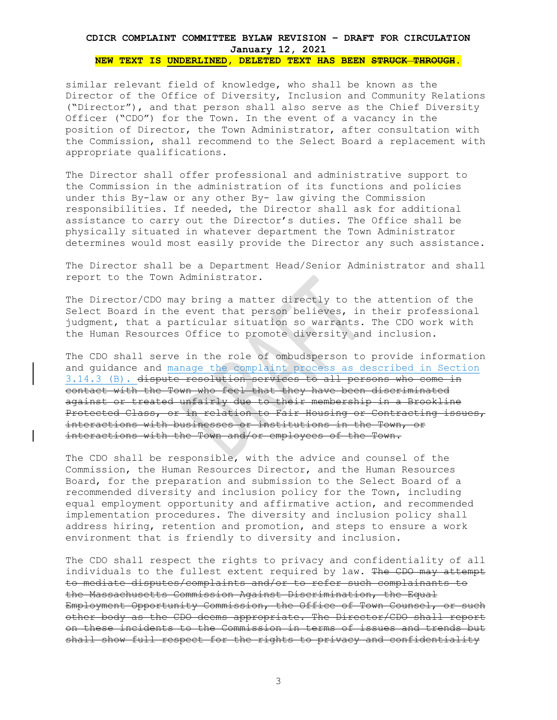**NEW TEXT IS UNDERLINED, DELETED TEXT HAS BEEN STRUCK THROUGH.** 

similar relevant field of knowledge, who shall be known as the Director of the Office of Diversity, Inclusion and Community Relations ("Director"), and that person shall also serve as the Chief Diversity Officer ("CDO") for the Town. In the event of a vacancy in the position of Director, the Town Administrator, after consultation with the Commission, shall recommend to the Select Board a replacement with appropriate qualifications.

The Director shall offer professional and administrative support to the Commission in the administration of its functions and policies under this By-law or any other By- law giving the Commission responsibilities. If needed, the Director shall ask for additional assistance to carry out the Director's duties. The Office shall be physically situated in whatever department the Town Administrator determines would most easily provide the Director any such assistance.

The Director shall be a Department Head/Senior Administrator and shall report to the Town Administrator.

The Director/CDO may bring a matter directly to the attention of the Select Board in the event that person believes, in their professional judgment, that a particular situation so warrants. The CDO work with the Human Resources Office to promote diversity and inclusion.

The CDO shall serve in the role of ombudsperson to provide information and guidance and manage the complaint process as described in Section 3.14.3 (B). dispute resolution services to all persons who come in contact with the Town who feel that they have been discriminated against or treated unfairly due to their membership in a Brookline Protected Class, or in relation to Fair Housing or Contracting issues, interactions with businesses or institutions in the Town, or interactions with the Town and/or employees of the Town.

The CDO shall be responsible, with the advice and counsel of the Commission, the Human Resources Director, and the Human Resources Board, for the preparation and submission to the Select Board of a recommended diversity and inclusion policy for the Town, including equal employment opportunity and affirmative action, and recommended implementation procedures. The diversity and inclusion policy shall address hiring, retention and promotion, and steps to ensure a work environment that is friendly to diversity and inclusion.

The CDO shall respect the rights to privacy and confidentiality of all individuals to the fullest extent required by law. The CDO may attempt to mediate disputes/complaints and/or to refer such complainants to the Massachusetts Commission Against Discrimination, the Equal Employment Opportunity Commission, the Office of Town Counsel, or such other body as the CDO deems appropriate. The Director/CDO shall report on these incidents to the Commission in terms of issues and trends but shall show full respect for the rights to privacy and confidentiality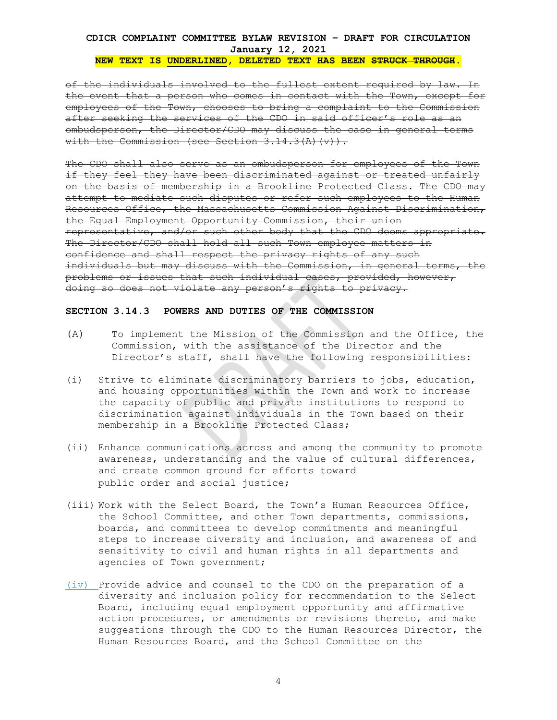#### **NEW TEXT IS UNDERLINED, DELETED TEXT HAS BEEN STRUCK THROUGH.**

of the individuals involved to the fullest extent required by law. In the event that a person who comes in contact with the Town, except for employees of the Town, chooses to bring a complaint to the Commission after seeking the services of the CDO in said officer's role as an ombudsperson, the Director/CDO may discuss the case in general terms with the Commission (see Section  $3.14.3(A)(v)$ ).

The CDO shall also serve as an ombudsperson for employees of the Town if they feel they have been discriminated against or treated unfairly on the basis of membership in a Brookline Protected Class. The CDO may attempt to mediate such disputes or refer such employees to the Human Resources Office, the Massachusetts Commission Against Discrimination, the Equal Employment Opportunity Commission, their union representative, and/or such other body that the CDO deems appropriate. The Director/CDO shall hold all such Town employee matters in confidence and shall respect the privacy rights of any such individuals but may discuss with the Commission, in general terms, the problems or issues that such individual cases, provided, however, doing so does not violate any person's rights to privacy.

## **SECTION 3.14.3 POWERS AND DUTIES OF THE COMMISSION**

- (A) To implement the Mission of the Commission and the Office, the Commission, with the assistance of the Director and the Director's staff, shall have the following responsibilities:
- (i) Strive to eliminate discriminatory barriers to jobs, education, and housing opportunities within the Town and work to increase the capacity of public and private institutions to respond to discrimination against individuals in the Town based on their membership in a Brookline Protected Class;
- (ii) Enhance communications across and among the community to promote awareness, understanding and the value of cultural differences, and create common ground for efforts toward public order and social justice;
- (iii) Work with the Select Board, the Town's Human Resources Office, the School Committee, and other Town departments, commissions, boards, and committees to develop commitments and meaningful steps to increase diversity and inclusion, and awareness of and sensitivity to civil and human rights in all departments and agencies of Town government;
- (iv) Provide advice and counsel to the CDO on the preparation of a diversity and inclusion policy for recommendation to the Select Board, including equal employment opportunity and affirmative action procedures, or amendments or revisions thereto, and make suggestions through the CDO to the Human Resources Director, the Human Resources Board, and the School Committee on the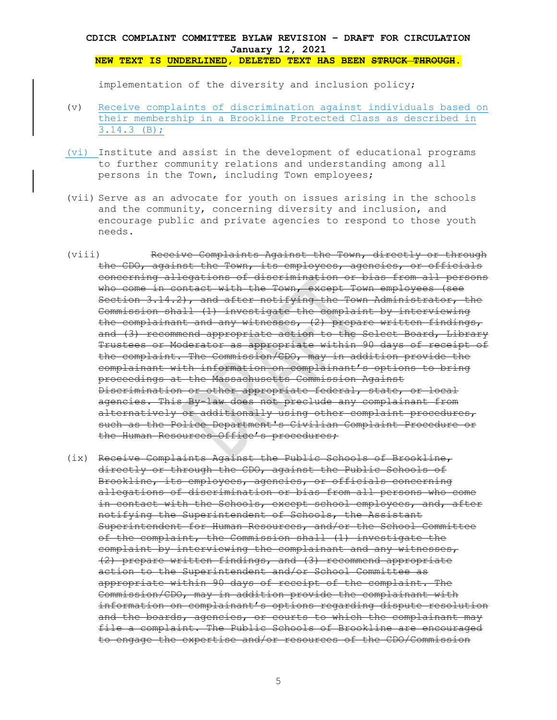implementation of the diversity and inclusion policy;

- (v) Receive complaints of discrimination against individuals based on their membership in a Brookline Protected Class as described in 3.14.3 (B);
- (vi) Institute and assist in the development of educational programs to further community relations and understanding among all persons in the Town, including Town employees;
- (vii) Serve as an advocate for youth on issues arising in the schools and the community, concerning diversity and inclusion, and encourage public and private agencies to respond to those youth needs.
- (viii) Receive Complaints Against the Town, directly or through the CDO, against the Town, its employees, agencies, or officials concerning allegations of discrimination or bias from all persons who come in contact with the Town, except Town employees (see Section 3.14.2), and after notifying the Town Administrator, the Commission shall (1) investigate the complaint by interviewing the complainant and any witnesses, (2) prepare written findings, and (3) recommend appropriate action to the Select Board, Library Trustees or Moderator as appropriate within 90 days of receipt of the complaint. The Commission/CDO, may in addition provide the complainant with information on complainant's options to bring proceedings at the Massachusetts Commission Against Discrimination or other appropriate federal, state, or local agencies. This By-law does not preclude any complainant from alternatively or additionally using other complaint procedures, such as the Police Department's Civilian Complaint Procedure or the Human Resources Office's procedures;
- (ix) Receive Complaints Against the Public Schools of Brookline, directly or through the CDO, against the Public Schools of Brookline, its employees, agencies, or officials concerning allegations of discrimination or bias from all persons who come in contact with the Schools, except school employees, and, after notifying the Superintendent of Schools, the Assistant Superintendent for Human Resources, and/or the School Committee of the complaint, the Commission shall (1) investigate the complaint by interviewing the complainant and any witnesses, (2) prepare written findings, and (3) recommend appropriate action to the Superintendent and/or School Committee as appropriate within 90 days of receipt of the complaint. The Commission/CDO, may in addition provide the complainant with information on complainant's options regarding dispute resolution and the boards, agencies, or courts to which the complainant may file a complaint. The Public Schools of Brookline are encouraged to engage the expertise and/or resources of the CDO/Commission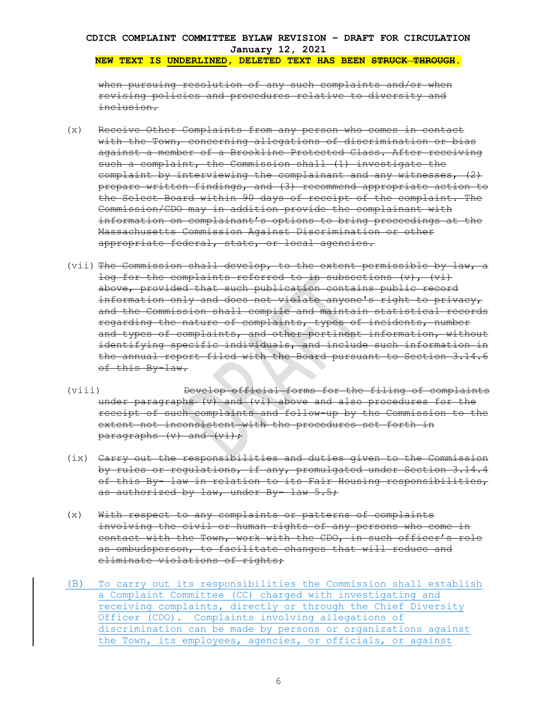when pursuing resolution of any such complaints and/or when revising policies and procedures relative to diversity and inclusion.

- (x) Receive Other Complaints from any person who comes in contact with the Town, concerning allegations of discrimination or bias against a member of a Brookline Protected Class. After receiving such a complaint, the Commission shall (1) investigate the complaint by interviewing the complainant and any witnesses, (2) prepare written findings, and (3) recommend appropriate action to the Select Board within 90 days of receipt of the complaint. The Commission/CDO may in addition provide the complainant with information on complainant's options to bring proceedings at the Massachusetts Commission Against Discrimination or other appropriate federal, state, or local agencies.
- (vii) The Commission shall develop, to the extent permissible by law, a log for the complaints referred to in subsections  $(v)$ ,  $(vi)$ above, provided that such publication contains public record information only and does not violate anyone's right to privacy, and the Commission shall compile and maintain statistical records regarding the nature of complaints, types of incidents, number and types of complaints, and other pertinent information, without identifying specific individuals, and include such information in the annual report filed with the Board pursuant to Section 3.14.6 of this By-law.
- (viii) Develop official forms for the filing of complaints under paragraphs (v) and (vi) above and also procedures for the receipt of such complaints and follow-up by the Commission to the extent not inconsistent with the procedures set forth in paragraphs  $(v)$  and  $(vi)$ ;
- (ix) Carry out the responsibilities and duties given to the Commission by rules or regulations, if any, promulgated under Section 3.14.4 of this By- law in relation to its Fair Housing responsibilities, as authorized by law, under By- law 5.5;
- (x) With respect to any complaints or patterns of complaints involving the civil or human rights of any persons who come in contact with the Town, work with the CDO, in such officer's role as ombudsperson, to facilitate changes that will reduce and eliminate violations of rights;
- (B) To carry out its responsibilities the Commission shall establish a Complaint Committee (CC) charged with investigating and receiving complaints, directly or through the Chief Diversity Officer (CDO). Complaints involving allegations of discrimination can be made by persons or organizations against the Town, its employees, agencies, or officials, or against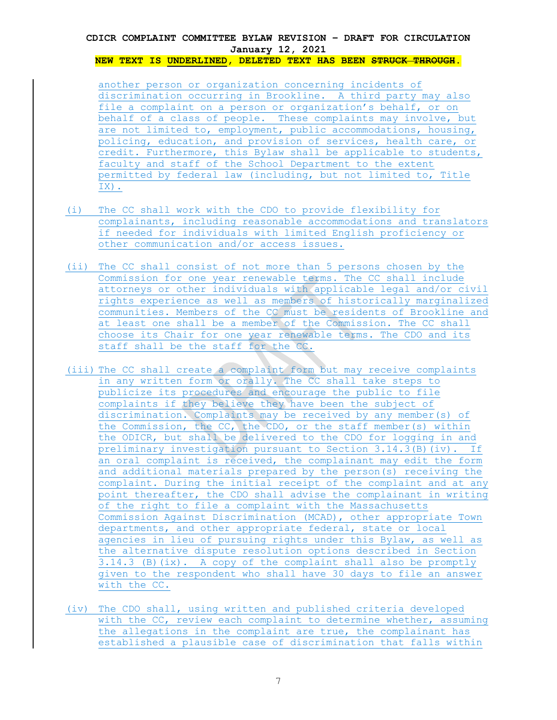**NEW TEXT IS UNDERLINED, DELETED TEXT HAS BEEN STRUCK THROUGH.** 

another person or organization concerning incidents of discrimination occurring in Brookline. A third party may also file a complaint on a person or organization's behalf, or on behalf of a class of people. These complaints may involve, but are not limited to, employment, public accommodations, housing, policing, education, and provision of services, health care, or credit. Furthermore, this Bylaw shall be applicable to students, faculty and staff of the School Department to the extent permitted by federal law (including, but not limited to, Title IX).

- (i) The CC shall work with the CDO to provide flexibility for complainants, including reasonable accommodations and translators if needed for individuals with limited English proficiency or other communication and/or access issues.
- (ii) The CC shall consist of not more than 5 persons chosen by the Commission for one year renewable terms. The CC shall include attorneys or other individuals with applicable legal and/or civil rights experience as well as members of historically marginalized communities. Members of the CC must be residents of Brookline and at least one shall be a member of the Commission. The CC shall choose its Chair for one year renewable terms. The CDO and its staff shall be the staff for the CC.
- (iii) The CC shall create a complaint form but may receive complaints in any written form or orally. The CC shall take steps to publicize its procedures and encourage the public to file complaints if they believe they have been the subject of discrimination. Complaints may be received by any member(s) of the Commission, the CC, the CDO, or the staff member(s) within the ODICR, but shall be delivered to the CDO for logging in and preliminary investigation pursuant to Section 3.14.3(B)(iv). If an oral complaint is received, the complainant may edit the form and additional materials prepared by the person(s) receiving the complaint. During the initial receipt of the complaint and at any point thereafter, the CDO shall advise the complainant in writing of the right to file a complaint with the Massachusetts Commission Against Discrimination (MCAD), other appropriate Town departments, and other appropriate federal, state or local agencies in lieu of pursuing rights under this Bylaw, as well as the alternative dispute resolution options described in Section 3.14.3 (B)(ix). A copy of the complaint shall also be promptly given to the respondent who shall have 30 days to file an answer with the CC.
- (iv) The CDO shall, using written and published criteria developed with the CC, review each complaint to determine whether, assuming the allegations in the complaint are true, the complainant has established a plausible case of discrimination that falls within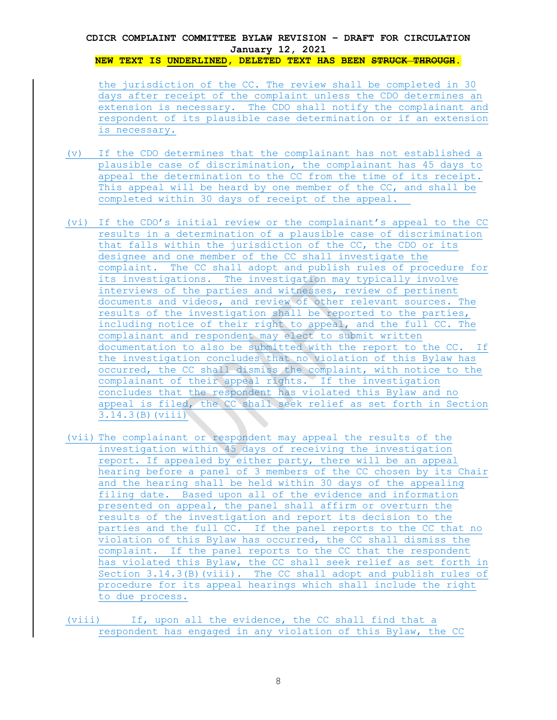**NEW TEXT IS UNDERLINED, DELETED TEXT HAS BEEN STRUCK THROUGH.** 

the jurisdiction of the CC. The review shall be completed in 30 days after receipt of the complaint unless the CDO determines an extension is necessary. The CDO shall notify the complainant and respondent of its plausible case determination or if an extension is necessary.

- (v) If the CDO determines that the complainant has not established a plausible case of discrimination, the complainant has 45 days to appeal the determination to the CC from the time of its receipt. This appeal will be heard by one member of the CC, and shall be completed within 30 days of receipt of the appeal.
- (vi) If the CDO's initial review or the complainant's appeal to the CC results in a determination of a plausible case of discrimination that falls within the jurisdiction of the CC, the CDO or its designee and one member of the CC shall investigate the complaint. The CC shall adopt and publish rules of procedure for its investigations. The investigation may typically involve interviews of the parties and witnesses, review of pertinent documents and videos, and review of other relevant sources. The results of the investigation shall be reported to the parties, including notice of their right to appeal, and the full CC. The complainant and respondent may elect to submit written documentation to also be submitted with the report to the CC. If the investigation concludes that no violation of this Bylaw has occurred, the CC shall dismiss the complaint, with notice to the complainant of their appeal rights. If the investigation concludes that the respondent has violated this Bylaw and no appeal is filed, the CC shall seek relief as set forth in Section 3.14.3(B)(viii)
- (vii) The complainant or respondent may appeal the results of the investigation within 45 days of receiving the investigation report. If appealed by either party, there will be an appeal hearing before a panel of 3 members of the CC chosen by its Chair and the hearing shall be held within 30 days of the appealing filing date. Based upon all of the evidence and information presented on appeal, the panel shall affirm or overturn the results of the investigation and report its decision to the parties and the full CC. If the panel reports to the CC that no violation of this Bylaw has occurred, the CC shall dismiss the complaint. If the panel reports to the CC that the respondent has violated this Bylaw, the CC shall seek relief as set forth in Section 3.14.3(B)(viii). The CC shall adopt and publish rules of procedure for its appeal hearings which shall include the right to due process.

(viii) If, upon all the evidence, the CC shall find that a respondent has engaged in any violation of this Bylaw, the CC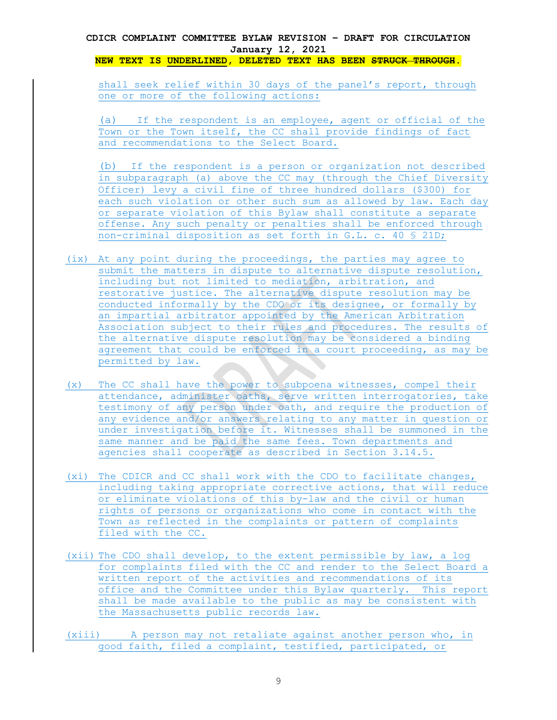**NEW TEXT IS UNDERLINED, DELETED TEXT HAS BEEN STRUCK THROUGH.** 

shall seek relief within 30 days of the panel's report, through one or more of the following actions:

(a) If the respondent is an employee, agent or official of the Town or the Town itself, the CC shall provide findings of fact and recommendations to the Select Board.

(b) If the respondent is a person or organization not described in subparagraph (a) above the CC may (through the Chief Diversity Officer) levy a civil fine of three hundred dollars (\$300) for each such violation or other such sum as allowed by law. Each day or separate violation of this Bylaw shall constitute a separate offense. Any such penalty or penalties shall be enforced through non-criminal disposition as set forth in G.L. c. 40 § 21D;

- (ix) At any point during the proceedings, the parties may agree to submit the matters in dispute to alternative dispute resolution, including but not limited to mediation, arbitration, and restorative justice. The alternative dispute resolution may be conducted informally by the CDO or its designee, or formally by an impartial arbitrator appointed by the American Arbitration Association subject to their rules and procedures. The results of the alternative dispute resolution may be considered a binding agreement that could be enforced in a court proceeding, as may be permitted by law.
- (x) The CC shall have the power to subpoena witnesses, compel their attendance, administer oaths, serve written interrogatories, take testimony of any person under oath, and require the production of any evidence and/or answers relating to any matter in question or under investigation before it. Witnesses shall be summoned in the same manner and be paid the same fees. Town departments and agencies shall cooperate as described in Section 3.14.5.
- (xi) The CDICR and CC shall work with the CDO to facilitate changes, including taking appropriate corrective actions, that will reduce or eliminate violations of this by-law and the civil or human rights of persons or organizations who come in contact with the Town as reflected in the complaints or pattern of complaints filed with the CC.
- (xii) The CDO shall develop, to the extent permissible by law, a log for complaints filed with the CC and render to the Select Board a written report of the activities and recommendations of its office and the Committee under this Bylaw quarterly. This report shall be made available to the public as may be consistent with the Massachusetts public records law.
- (xiii) A person may not retaliate against another person who, in good faith, filed a complaint, testified, participated, or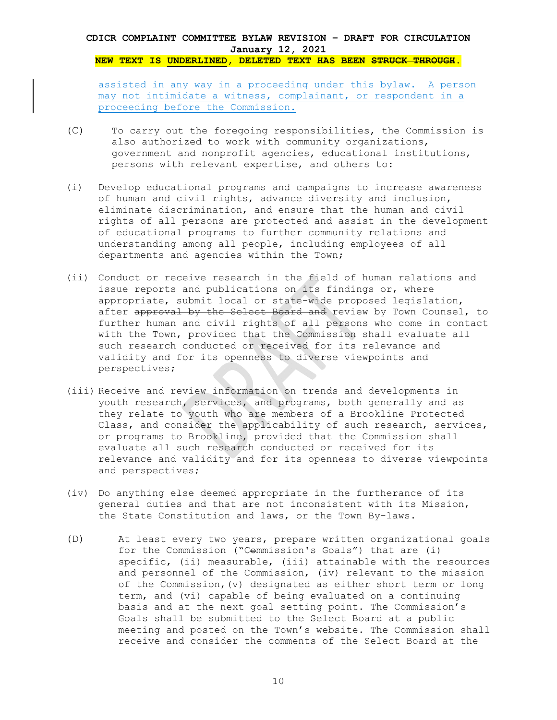**NEW TEXT IS UNDERLINED, DELETED TEXT HAS BEEN STRUCK THROUGH.** 

assisted in any way in a proceeding under this bylaw. A person may not intimidate a witness, complainant, or respondent in a proceeding before the Commission.

- (C) To carry out the foregoing responsibilities, the Commission is also authorized to work with community organizations, government and nonprofit agencies, educational institutions, persons with relevant expertise, and others to:
- (i) Develop educational programs and campaigns to increase awareness of human and civil rights, advance diversity and inclusion, eliminate discrimination, and ensure that the human and civil rights of all persons are protected and assist in the development of educational programs to further community relations and understanding among all people, including employees of all departments and agencies within the Town;
- (ii) Conduct or receive research in the field of human relations and issue reports and publications on its findings or, where appropriate, submit local or state-wide proposed legislation, after approval by the Select Board and review by Town Counsel, to further human and civil rights of all persons who come in contact with the Town, provided that the Commission shall evaluate all such research conducted or received for its relevance and validity and for its openness to diverse viewpoints and perspectives;
- (iii) Receive and review information on trends and developments in youth research, services, and programs, both generally and as they relate to youth who are members of a Brookline Protected Class, and consider the applicability of such research, services, or programs to Brookline, provided that the Commission shall evaluate all such research conducted or received for its relevance and validity and for its openness to diverse viewpoints and perspectives;
- (iv) Do anything else deemed appropriate in the furtherance of its general duties and that are not inconsistent with its Mission, the State Constitution and laws, or the Town By-laws.
- (D) At least every two years, prepare written organizational goals for the Commission ("Commission's Goals") that are (i) specific, (ii) measurable, (iii) attainable with the resources and personnel of the Commission, (iv) relevant to the mission of the Commission,(v) designated as either short term or long term, and (vi) capable of being evaluated on a continuing basis and at the next goal setting point. The Commission's Goals shall be submitted to the Select Board at a public meeting and posted on the Town's website. The Commission shall receive and consider the comments of the Select Board at the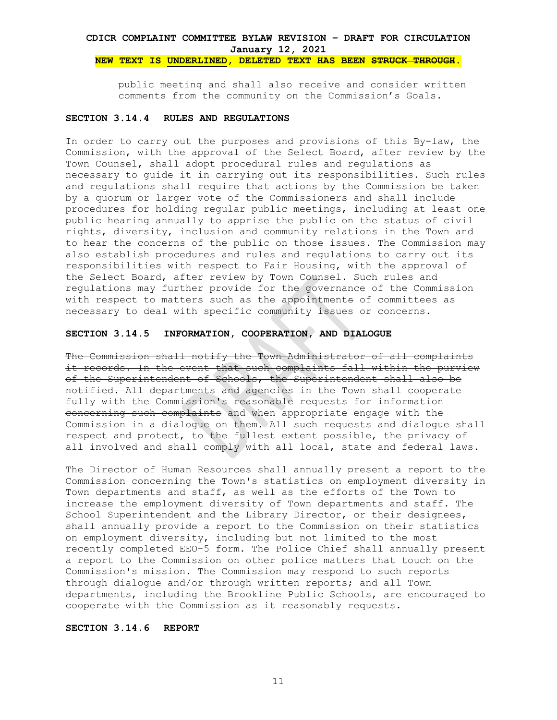public meeting and shall also receive and consider written comments from the community on the Commission's Goals.

#### **SECTION 3.14.4 RULES AND REGULATIONS**

In order to carry out the purposes and provisions of this By-law, the Commission, with the approval of the Select Board, after review by the Town Counsel, shall adopt procedural rules and regulations as necessary to guide it in carrying out its responsibilities. Such rules and regulations shall require that actions by the Commission be taken by a quorum or larger vote of the Commissioners and shall include procedures for holding regular public meetings, including at least one public hearing annually to apprise the public on the status of civil rights, diversity, inclusion and community relations in the Town and to hear the concerns of the public on those issues. The Commission may also establish procedures and rules and regulations to carry out its responsibilities with respect to Fair Housing, with the approval of the Select Board, after review by Town Counsel. Such rules and regulations may further provide for the governance of the Commission with respect to matters such as the appointments of committees as necessary to deal with specific community issues or concerns.

#### **SECTION 3.14.5 INFORMATION, COOPERATION, AND DIALOGUE**

The Commission shall notify the Town Administrator of all complaints it records. In the event that such complaints fall within the purview of the Superintendent of Schools, the Superintendent shall also be notified. All departments and agencies in the Town shall cooperate fully with the Commission's reasonable requests for information concerning such complaints and when appropriate engage with the Commission in a dialogue on them. All such requests and dialogue shall respect and protect, to the fullest extent possible, the privacy of all involved and shall comply with all local, state and federal laws.

The Director of Human Resources shall annually present a report to the Commission concerning the Town's statistics on employment diversity in Town departments and staff, as well as the efforts of the Town to increase the employment diversity of Town departments and staff. The School Superintendent and the Library Director, or their designees, shall annually provide a report to the Commission on their statistics on employment diversity, including but not limited to the most recently completed EEO-5 form. The Police Chief shall annually present a report to the Commission on other police matters that touch on the Commission's mission. The Commission may respond to such reports through dialogue and/or through written reports; and all Town departments, including the Brookline Public Schools, are encouraged to cooperate with the Commission as it reasonably requests.

## **SECTION 3.14.6 REPORT**